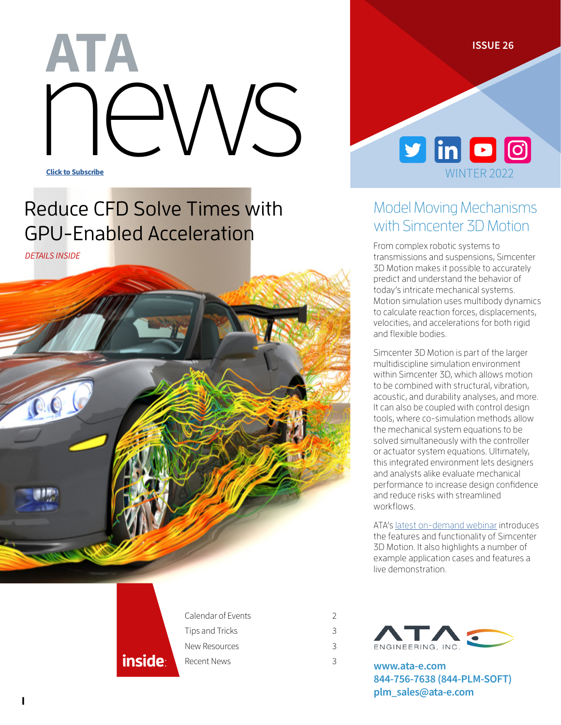**ISSUE 26**

# NEWS Click to Subscribe ATA

# Reduce CFD Solve Times with GPU-Enabled Acceleration

*DETAILS INSIDE*





### Model Moving Mechanisms with Simcenter 3D Motion

From complex robotic systems to transmissions and suspensions, Simcenter 3D Motion makes it possible to accurately predict and understand the behavior of today's intricate mechanical systems. Motion simulation uses multibody dynamics to calculate reaction forces, displacements, velocities, and accelerations for both rigid and flexible bodies.

Simcenter 3D Motion is part of the larger multidiscipline simulation environment within Simcenter 3D, which allows motion to be combined with structural, vibration, acoustic, and durability analyses, and more. It can also be coupled with control design tools, where co-simulation methods allow the mechanical system equations to be solved simultaneously with the controller or actuator system equations. Ultimately, this integrated environment lets designers and analysts alike evaluate mechanical performance to increase design confidence and reduce risks with streamlined workflows.

ATA's [latest on-demand webinar](https://www.ata-e.com/resources/engineering-in-motion-modeling-of-moving-mechanisms-in-simcenter-3d-motion/) introduces the features and functionality of Simcenter 3D Motion. It also highlights a number of example application cases and features a live demonstration.



| Calendar of Events | 2 |
|--------------------|---|
| Tips and Tricks    | 3 |
| New Resources      | 3 |
| Recent News        | 3 |



**[www.ata-e.com](https://www.ata-e.com) 844-756-7638 (844-PLM-SOFT) [plm\\_sales@ata-e.com](mailto:plm_sales%40ata-e.com?subject=)**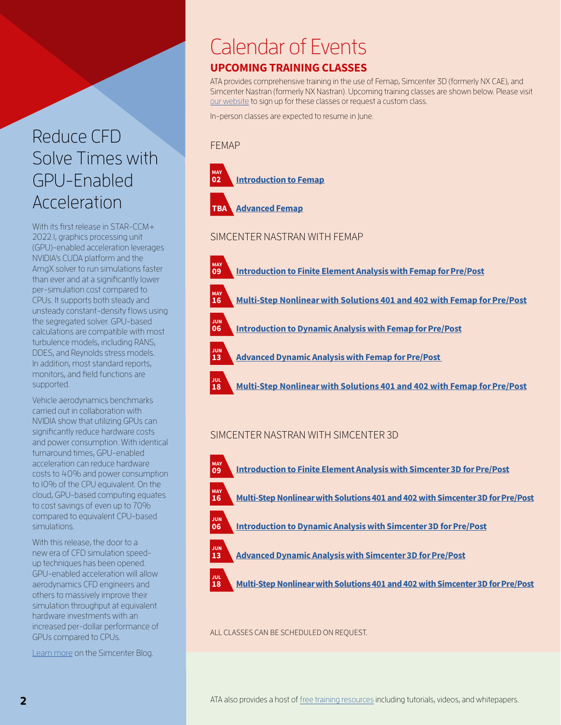### Reduce CFD Solve Times with GPU-Enabled Acceleration

With its first release in STAR-CCM+ 2022.1, graphics processing unit (GPU)-enabled acceleration leverages NVIDIA's CUDA platform and the AmgX solver to run simulations faster than ever and at a significantly lower per-simulation cost compared to CPUs. It supports both steady and unsteady constant-density flows using the segregated solver. GPU-based calculations are compatible with most turbulence models, including RANS, DDES, and Reynolds stress models. In addition, most standard reports, monitors, and field functions are supported.

Vehicle aerodynamics benchmarks carried out in collaboration with NVIDIA show that utilizing GPUs can significantly reduce hardware costs and power consumption. With identical turnaround times, GPU-enabled acceleration can reduce hardware costs to 40% and power consumption to 10% of the CPU equivalent. On the cloud, GPU-based computing equates to cost savings of even up to 70% compared to equivalent CPU-based simulations.

With this release, the door to a new era of CFD simulation speedup techniques has been opened. GPU-enabled acceleration will allow aerodynamics CFD engineers and others to massively improve their simulation throughput at equivalent hardware investments with an increased per-dollar performance of GPUs compared to CPUs.

[Learn more](https://blogs.sw.siemens.com/simcenter/gpu-acceleration-for-cfd-simulation/?stc=wwdi106780&pid=0013000000HYMqPAAX&spi=9915439) on the Simcenter Blog.

# Calendar of Events

### UPCOMING TRAINING CLASSES

ATA provides comprehensive training in the use of Femap, Simcenter 3D (formerly NX CAE), and Simcenter Nastran (formerly NX Nastran). Upcoming training classes are shown below. Please visit [our website](https://www.ata-e.com/software/siemens-plm-software/events-and-training/training-schedule/) to sign up for these classes or request a custom class.

In-person classes are expected to resume in June.

#### FEMAP

MAY 09

JUN 06

JUN 13

JUL 18





#### SIMCENTER NASTRAN WITH FEMAP

- [Introduction to Finite Element Analysis with Femap for Pre/Post](https://www.ata-e.com/events-and-training/introduction-to-finite-element-analysis-with-femap-for-pre-post-nas110-2/)
- [Multi-Step Nonlinear with Solutions 401 and 402 with Femap for Pre/Post](https://www.ata-e.com/events-and-training/multi-step-nonlinear-with-solutions-401-and-402-with-femap-for-pre-post-nas401-401-2/) маү<br>**16** 
	- [Introduction to Dynamic Analysis with Femap for Pre/Post](https://www.ata-e.com/events-and-training/introduction-to-dynamic-analysis-with-femap-for-pre-post-nas120/)
	- [Advanced Dynamic Analysis with Femap for Pre/Post](https://www.ata-e.com/events-and-training/advanced-dynamic-analysis-with-femap-for-pre-post-nas220-2/) 
		- [Multi-Step Nonlinear with Solutions 401 and 402 with Femap for Pre/Post](https://www.ata-e.com/events-and-training/multi-step-nonlinear-with-solutions-401-and-402-with-femap-for-pre-post-nas401-401-2-2/)

#### SIMCENTER NASTRAN WITH SIMCENTER 3D

- MAY 09
- [Introduction to Finite Element Analysis with Simcenter 3D for Pre/Post](https://www.ata-e.com/events-and-training/introduction-to-finite-element-analysis-with-simcenter-3d-for-pre-post-nas111-2/)



[Multi-Step Nonlinear with Solutions 401 and 402 with Simcenter 3D for Pre/Post](https://www.ata-e.com/events-and-training/multi-step-nonlinear-with-solutions-401-and-402-with-simcenter-3d-for-pre-post-nas401-402-2/) 



[Introduction to Dynamic Analysis with Simcenter 3D for Pre/Post](https://www.ata-e.com/events-and-training/introduction-to-dynamic-analysis-with-simcenter-3d-for-pre-post-nas121/)



- [Advanced Dynamic Analysis with Simcenter 3D for Pre/Post](https://www.ata-e.com/events-and-training/advanced-dynamic-analysis-with-simcenter-3d-for-pre-post-nas221-2/)
- JUL 18
	- [Multi-Step Nonlinear with Solutions 401 and 402 with Simcenter 3D for Pre/Post](https://www.ata-e.com/events-and-training/multi-step-nonlinear-with-solutions-401-and-402-with-simcenter-3d-for-pre-post-nas401-402-2-2/)

#### ALL CLASSES CAN BE SCHEDULED ON REQUEST.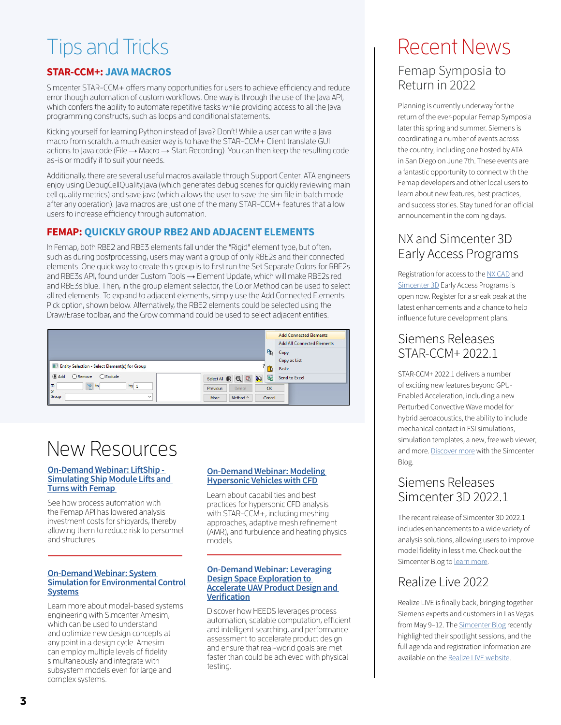# Tips and Tricks

#### STAR-CCM+: JAVA MACROS

Simcenter STAR-CCM+ offers many opportunities for users to achieve efficiency and reduce error though automation of custom workflows. One way is through the use of the Java API, which confers the ability to automate repetitive tasks while providing access to all the Java programming constructs, such as loops and conditional statements.

Kicking yourself for learning Python instead of Java? Don't! While a user can write a Java macro from scratch, a much easier way is to have the STAR-CCM+ Client translate GUI actions to Java code (File → Macro → Start Recording). You can then keep the resulting code as-is or modify it to suit your needs.

Additionally, there are several useful macros available through Support Center. ATA engineers enjoy using DebugCellQuality.java (which generates debug scenes for quickly reviewing main cell quality metrics) and save.java (which allows the user to save the sim file in batch mode after any operation). Java macros are just one of the many STAR-CCM+ features that allow users to increase efficiency through automation.

#### FEMAP: QUICKLY GROUP RBE2 AND ADJACENT ELEMENTS

In Femap, both RBE2 and RBE3 elements fall under the "Rigid" element type, but often, such as during postprocessing, users may want a group of only RBE2s and their connected elements. One quick way to create this group is to first run the Set Separate Colors for RBE2s and RBE3s API, found under Custom Tools → Element Update, which will make RBE2s red and RBE3s blue. Then, in the group element selector, the Color Method can be used to select all red elements. To expand to adjacent elements, simply use the Add Connected Elements Pick option, shown below. Alternatively, the RBE2 elements could be selected using the Draw/Erase toolbar, and the Grow command could be used to select adjacent entities.



# New Resources

#### **[On-Demand Webinar: LiftShip -](https://www.ata-e.com/resources/liftship-simulating-ship-module-lifts-and-turns-with-femap/)  [Simulating Ship Module Lifts and](https://www.ata-e.com/resources/liftship-simulating-ship-module-lifts-and-turns-with-femap/)  [Turns with Femap](https://www.ata-e.com/resources/liftship-simulating-ship-module-lifts-and-turns-with-femap/)**

See how process automation with the Femap API has lowered analysis investment costs for shipyards, thereby allowing them to reduce risk to personnel and structures.

#### **[On-Demand Webinar: System](https://www.ata-e.com/resources/system-simulation-for-environmental-control-systems/)  [Simulation for Environmental Control](https://www.ata-e.com/resources/system-simulation-for-environmental-control-systems/)  [Systems](https://www.ata-e.com/resources/system-simulation-for-environmental-control-systems/)**

Learn more about model-based systems engineering with Simcenter Amesim, which can be used to understand and optimize new design concepts at any point in a design cycle. Amesim can employ multiple levels of fidelity simultaneously and integrate with subsystem models even for large and complex systems.

#### **[On-Demand Webinar: Modeling](https://www.ata-e.com/resources/modeling-hypersonic-vehicles-with-computational-fluid-dynamics-cfd/)  [Hypersonic Vehicles with CFD](https://www.ata-e.com/resources/modeling-hypersonic-vehicles-with-computational-fluid-dynamics-cfd/)**

Learn about capabilities and best practices for hypersonic CFD analysis with STAR-CCM+, including meshing approaches, adaptive mesh refinement (AMR), and turbulence and heating physics models.

#### **[On-Demand Webinar: Leveraging](https://www.ata-e.com/resources/on-demand-webinar-leveraging-design-space-exploration-to-accelerate-uav-product-design-and-verification/)  [Design Space Exploration to](https://www.ata-e.com/resources/on-demand-webinar-leveraging-design-space-exploration-to-accelerate-uav-product-design-and-verification/)  [Accelerate UAV Product Design and](https://www.ata-e.com/resources/on-demand-webinar-leveraging-design-space-exploration-to-accelerate-uav-product-design-and-verification/)  [Verification](https://www.ata-e.com/resources/on-demand-webinar-leveraging-design-space-exploration-to-accelerate-uav-product-design-and-verification/)**

Discover how HEEDS leverages process automation, scalable computation, efficient and intelligent searching, and performance assessment to accelerate product design and ensure that real-world goals are met faster than could be achieved with physical testing.

### Recent News Femap Symposia to Return in 2022

Planning is currently underway for the return of the ever-popular Femap Symposia later this spring and summer. Siemens is coordinating a number of events across the country, including one hosted by ATA in San Diego on June 7th. These events are a fantastic opportunity to connect with the Femap developers and other local users to learn about new features, best practices, and success stories. Stay tuned for an official announcement in the coming days.

### NX and Simcenter 3D Early Access Programs

Registration for access to the [NX CAD](https://blogs.sw.siemens.com/nx-design/march-2022-nx-cad-early-access-program-registration-is-now-open/?stc=wwdi106780&pid=0013000000HYMqPAAX&spi=9915439) and [Simcenter 3D](https://blogs.sw.siemens.com/simcenter/simcenter-3d-early-access-program/?stc=wwdi106780&pid=0013000000HYMqPAAX&spi=9915439) Early Access Programs is open now. Register for a sneak peak at the latest enhancements and a chance to help influence future development plans.

### Siemens Releases STAR-CCM+ 2022.1

STAR-CCM+ 2022.1 delivers a number of exciting new features beyond GPU-Enabled Acceleration, including a new Perturbed Convective Wave model for hybrid aeroacoustics, the ability to include mechanical contact in FSI simulations, simulation templates, a new, free web viewer, and more. [Discover more](https://blogs.sw.siemens.com/simcenter/simcenter-star-ccm-2022-1-released-whats-new/?stc=wwdi106780&pid=0013000000HYMqPAAX&spi=9915439) with the Simcenter Blog.

### Siemens Releases Simcenter 3D 2022.1

The recent release of Simcenter 3D 2022.1 includes enhancements to a wide variety of analysis solutions, allowing users to improve model fidelity in less time. Check out the Simcenter Blog to [learn more](https://blogs.sw.siemens.com/simcenter/whats-new-in-simcenter-3d-2022-1/?stc=wwdi106780&pid=0013000000HYMqPAAX&spi=9915439).

### Realize Live 2022

Realize LIVE is finally back, bringing together Siemens experts and customers in Las Vegas from May 9-12. The **Simcenter Blog** recently highlighted their spotlight sessions, and the full agenda and registration information are available on the [Realize LIVE website](https://event.sw.siemens.com/realize-live-americas/home/?stc=wwdi106780&pid=0013000000HYMqPAAX&spi=9915439).